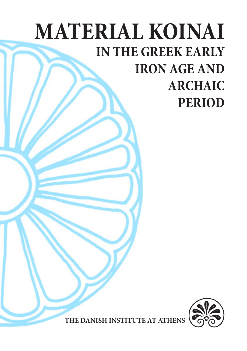## **MATERIAL KOINAI IN THE GREEK EARLY IRON AGE AND ARCHAIC PERIOD**



**THE DANISH INSTITUTE AT ATHENS**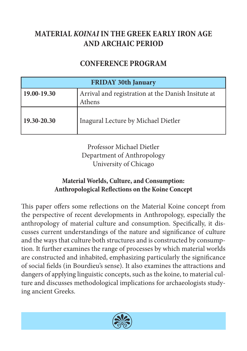#### **MATERIAL** *KOINAI* **IN THE GREEK EARLY IRON AGE AND ARCHAIC PERIOD**

#### **CONFERENCE PROGRAM**

| <b>FRIDAY 30th January</b> |                                                              |  |
|----------------------------|--------------------------------------------------------------|--|
| 19.00-19.30                | Arrival and registration at the Danish Insitute at<br>Athens |  |
| $19.30 - 20.30$            | Inagural Lecture by Michael Dietler                          |  |

Professor Michael Dietler Department of Anthropology University of Chicago

#### **Material Worlds, Culture, and Consumption: Anthropological Reflections on the Koine Concept**

This paper offers some reflections on the Material Koine concept from the perspective of recent developments in Anthropology, especially the anthropology of material culture and consumption. Specifically, it discusses current understandings of the nature and significance of culture and the ways that culture both structures and is constructed by consumption. It further examines the range of processes by which material worlds are constructed and inhabited, emphasizing particularly the significance of social fields (in Bourdieu's sense). It also examines the attractions and dangers of applying linguistic concepts, such as the koine, to material culture and discusses methodological implications for archaeologists studying ancient Greeks.

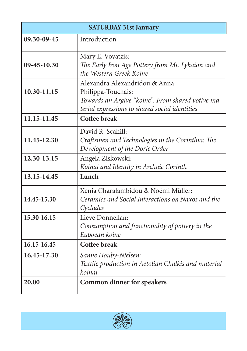| <b>SATURDAY 31st January</b> |                                                                                                                                                            |
|------------------------------|------------------------------------------------------------------------------------------------------------------------------------------------------------|
| 09.30-09-45                  | Introduction                                                                                                                                               |
| $09-45-10.30$                | Mary E. Voyatzis:<br>The Early Iron Age Pottery from Mt. Lykaion and<br>the Western Greek Koine                                                            |
| 10.30-11.15                  | Alexandra Alexandridou & Anna<br>Philippa-Touchais:<br>Towards an Argive "koine": From shared votive ma-<br>terial expressions to shared social identities |
| 11.15-11.45                  | Coffee break                                                                                                                                               |
| 11.45-12.30                  | David R. Scahill:<br>Craftsmen and Technologies in the Corinthia: The<br>Development of the Doric Order                                                    |
| 12.30-13.15                  | Angela Ziskowski:<br>Koinai and Identity in Archaic Corinth                                                                                                |
| 13.15-14.45                  | Lunch                                                                                                                                                      |
| 14.45-15.30                  | Xenia Charalambidou & Noémi Müller:<br>Ceramics and Social Interactions on Naxos and the<br>Cyclades                                                       |
| 15.30-16.15                  | Lieve Donnellan:<br>Consumption and functionality of pottery in the<br>Euboean koine                                                                       |
| 16.15-16.45                  | <b>Coffee break</b>                                                                                                                                        |
| 16.45-17.30                  | Sanne Houby-Nielsen:<br>Textile production in Aetolian Chalkis and material<br>koinai                                                                      |
| 20.00                        | <b>Common dinner for speakers</b>                                                                                                                          |

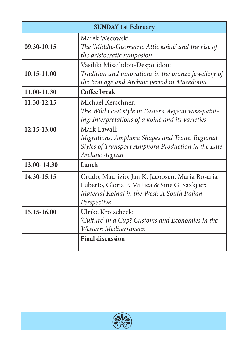| <b>SUNDAY 1st February</b> |                                                                                                                                                                 |  |
|----------------------------|-----------------------------------------------------------------------------------------------------------------------------------------------------------------|--|
| 09.30-10.15                | Marek Wecowski:<br>The 'Middle-Geometric Attic koine' and the rise of<br>the aristocratic symposion                                                             |  |
| 10.15-11.00                | Vasiliki Misailidou-Despotidou:<br>Tradition and innovations in the bronze jewellery of<br>the Iron age and Archaic period in Macedonia                         |  |
| 11.00-11.30                | Coffee break                                                                                                                                                    |  |
| 11.30-12.15                | Michael Kerschner:<br>The Wild Goat style in Eastern Aegean vase-paint-<br>ing: Interpretations of a koiné and its varieties                                    |  |
| 12.15-13.00                | Mark Lawall:<br>Migrations, Amphora Shapes and Trade: Regional<br>Styles of Transport Amphora Production in the Late<br>Archaic Aegean                          |  |
| 13.00-14.30                | Lunch                                                                                                                                                           |  |
| 14.30-15.15                | Crudo, Maurizio, Jan K. Jacobsen, Maria Rosaria<br>Luberto, Gloria P. Mittica & Sine G. Saxkjær:<br>Material Koinai in the West: A South Italian<br>Perspective |  |
| 15.15-16.00                | Ulrike Krotscheck:<br>'Culture' in a Cup? Customs and Economies in the<br>Western Mediterranean                                                                 |  |
|                            | <b>Final discussion</b>                                                                                                                                         |  |